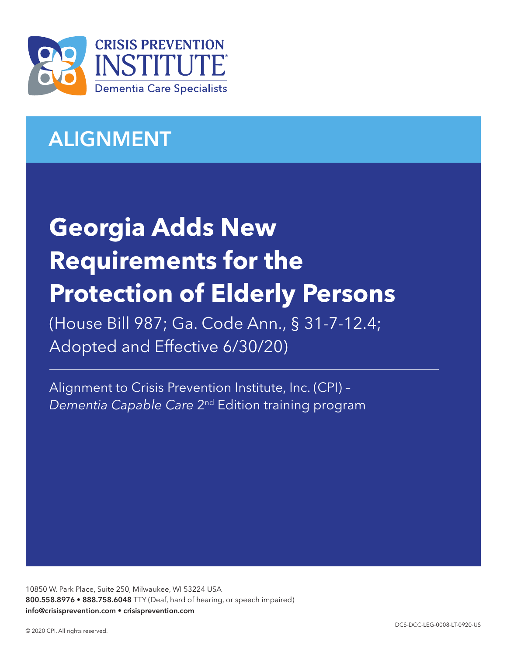

## ALIGNMENT

# **Georgia Adds New Requirements for the Protection of Elderly Persons**

(House Bill 987; Ga. Code Ann., § 31-7-12.4; Adopted and Effective 6/30/20)

Alignment to Crisis Prevention Institute, Inc. (CPI) – *Dementia Capable Care* 2nd Edition training program

10850 W. Park Place, Suite 250, Milwaukee, WI 53224 USA 800.558.8976 • 888.758.6048 TTY (Deaf, hard of hearing, or speech impaired) info@crisisprevention.com • crisisprevention.com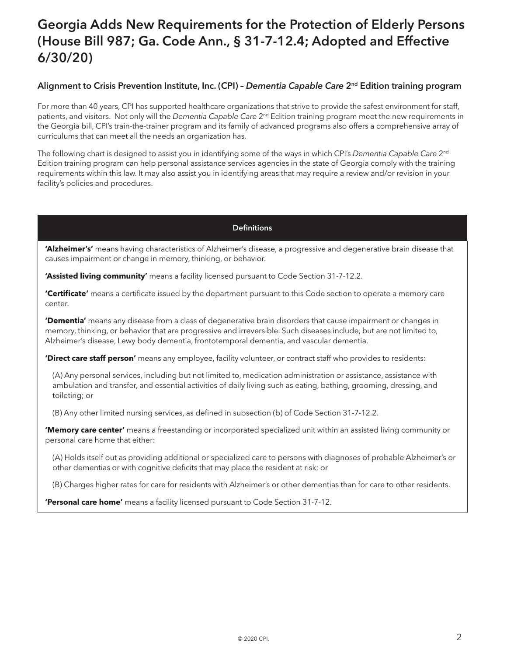### Georgia Adds New Requirements for the Protection of Elderly Persons (House Bill 987; Ga. Code Ann., § 31-7-12.4; Adopted and Effective 6/30/20)

#### Alignment to Crisis Prevention Institute, Inc. (CPI) – *Dementia Capable Care* 2nd Edition training program

For more than 40 years, CPI has supported healthcare organizations that strive to provide the safest environment for staff, patients, and visitors. Not only will the *Dementia Capable Care* 2nd Edition training program meet the new requirements in the Georgia bill, CPI's train-the-trainer program and its family of advanced programs also offers a comprehensive array of curriculums that can meet all the needs an organization has.

The following chart is designed to assist you in identifying some of the ways in which CPI's *Dementia Capable Care* 2nd Edition training program can help personal assistance services agencies in the state of Georgia comply with the training requirements within this law. It may also assist you in identifying areas that may require a review and/or revision in your facility's policies and procedures.

#### **Definitions**

**'Alzheimer's'** means having characteristics of Alzheimer's disease, a progressive and degenerative brain disease that causes impairment or change in memory, thinking, or behavior.

**'Assisted living community'** means a facility licensed pursuant to Code Section 31-7-12.2.

**'Certificate'** means a certificate issued by the department pursuant to this Code section to operate a memory care center.

**'Dementia'** means any disease from a class of degenerative brain disorders that cause impairment or changes in memory, thinking, or behavior that are progressive and irreversible. Such diseases include, but are not limited to, Alzheimer's disease, Lewy body dementia, frontotemporal dementia, and vascular dementia.

**'Direct care staff person'** means any employee, facility volunteer, or contract staff who provides to residents:

(A) Any personal services, including but not limited to, medication administration or assistance, assistance with ambulation and transfer, and essential activities of daily living such as eating, bathing, grooming, dressing, and toileting; or

(B) Any other limited nursing services, as defined in subsection (b) of Code Section 31-7-12.2.

**'Memory care center'** means a freestanding or incorporated specialized unit within an assisted living community or personal care home that either:

(A) Holds itself out as providing additional or specialized care to persons with diagnoses of probable Alzheimer's or other dementias or with cognitive deficits that may place the resident at risk; or

(B) Charges higher rates for care for residents with Alzheimer's or other dementias than for care to other residents.

**'Personal care home'** means a facility licensed pursuant to Code Section 31-7-12.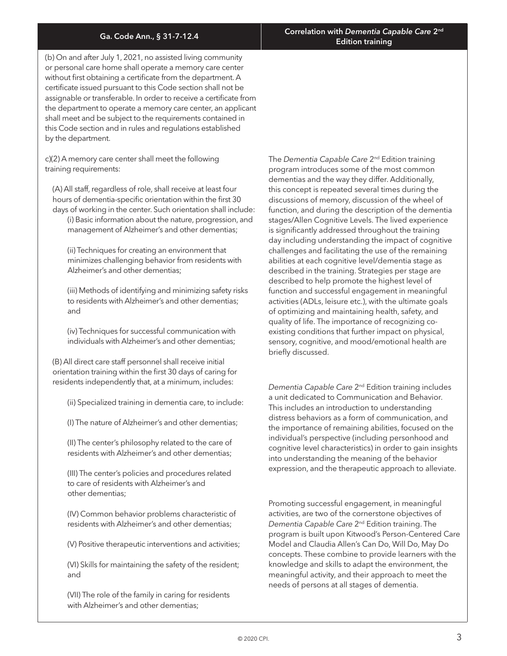(b) On and after July 1, 2021, no assisted living community or personal care home shall operate a memory care center without first obtaining a certificate from the department. A certificate issued pursuant to this Code section shall not be assignable or transferable. In order to receive a certificate from the department to operate a memory care center, an applicant shall meet and be subject to the requirements contained in this Code section and in rules and regulations established by the department.

c)(2) A memory care center shall meet the following training requirements:

(A) All staff, regardless of role, shall receive at least four hours of dementia-specific orientation within the first 30 days of working in the center. Such orientation shall include: (i) Basic information about the nature, progression, and

management of Alzheimer's and other dementias;

(ii) Techniques for creating an environment that minimizes challenging behavior from residents with Alzheimer's and other dementias;

(iii) Methods of identifying and minimizing safety risks to residents with Alzheimer's and other dementias; and

(iv) Techniques for successful communication with individuals with Alzheimer's and other dementias;

(B) All direct care staff personnel shall receive initial orientation training within the first 30 days of caring for residents independently that, at a minimum, includes:

(ii) Specialized training in dementia care, to include:

(I) The nature of Alzheimer's and other dementias;

(II) The center's philosophy related to the care of residents with Alzheimer's and other dementias;

(III) The center's policies and procedures related to care of residents with Alzheimer's and other dementias;

(IV) Common behavior problems characteristic of residents with Alzheimer's and other dementias;

(V) Positive therapeutic interventions and activities;

(VI) Skills for maintaining the safety of the resident; and

(VII) The role of the family in caring for residents with Alzheimer's and other dementias;

The *Dementia Capable Care* 2nd Edition training program introduces some of the most common dementias and the way they differ. Additionally, this concept is repeated several times during the discussions of memory, discussion of the wheel of function, and during the description of the dementia stages/Allen Cognitive Levels. The lived experience is significantly addressed throughout the training day including understanding the impact of cognitive challenges and facilitating the use of the remaining abilities at each cognitive level/dementia stage as described in the training. Strategies per stage are described to help promote the highest level of function and successful engagement in meaningful activities (ADLs, leisure etc.), with the ultimate goals of optimizing and maintaining health, safety, and quality of life. The importance of recognizing coexisting conditions that further impact on physical, sensory, cognitive, and mood/emotional health are briefly discussed.

*Dementia Capable Care* 2nd Edition training includes a unit dedicated to Communication and Behavior. This includes an introduction to understanding distress behaviors as a form of communication, and the importance of remaining abilities, focused on the individual's perspective (including personhood and cognitive level characteristics) in order to gain insights into understanding the meaning of the behavior expression, and the therapeutic approach to alleviate.

Promoting successful engagement, in meaningful activities, are two of the cornerstone objectives of *Dementia Capable Care* 2nd Edition training. The program is built upon Kitwood's Person-Centered Care Model and Claudia Allen's Can Do, Will Do, May Do concepts. These combine to provide learners with the knowledge and skills to adapt the environment, the meaningful activity, and their approach to meet the needs of persons at all stages of dementia.